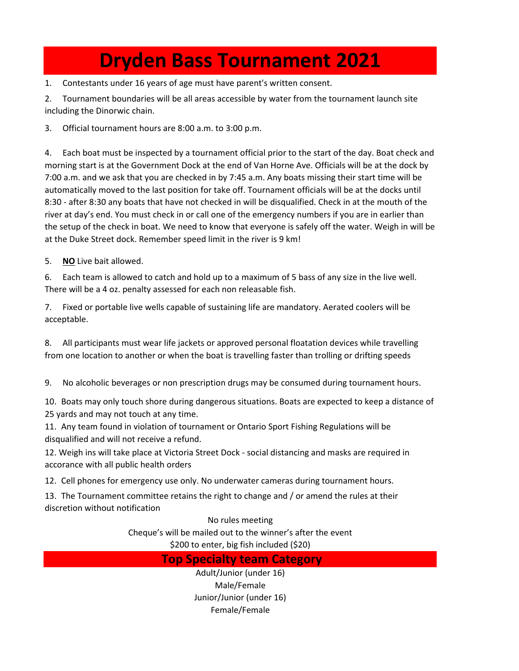## **Dryden Bass Tournament 2021**

1. Contestants under 16 years of age must have parent's written consent.

2. Tournament boundaries will be all areas accessible by water from the tournament launch site including the Dinorwic chain.

3. Official tournament hours are 8:00 a.m. to 3:00 p.m.

4. Each boat must be inspected by a tournament official prior to the start of the day. Boat check and morning start is at the Government Dock at the end of Van Horne Ave. Officials will be at the dock by 7:00 a.m. and we ask that you are checked in by 7:45 a.m. Any boats missing their start time will be automatically moved to the last position for take off. Tournament officials will be at the docks until 8:30 - after 8:30 any boats that have not checked in will be disqualified. Check in at the mouth of the river at day's end. You must check in or call one of the emergency numbers if you are in earlier than the setup of the check in boat. We need to know that everyone is safely off the water. Weigh in will be at the Duke Street dock. Remember speed limit in the river is 9 km!

5. **NO** Live bait allowed.

6. Each team is allowed to catch and hold up to a maximum of 5 bass of any size in the live well. There will be a 4 oz. penalty assessed for each non releasable fish.

7. Fixed or portable live wells capable of sustaining life are mandatory. Aerated coolers will be acceptable.

8. All participants must wear life jackets or approved personal floatation devices while travelling from one location to another or when the boat is travelling faster than trolling or drifting speeds

9. No alcoholic beverages or non prescription drugs may be consumed during tournament hours.

10. Boats may only touch shore during dangerous situations. Boats are expected to keep a distance of 25 yards and may not touch at any time.

11. Any team found in violation of tournament or Ontario Sport Fishing Regulations will be disqualified and will not receive a refund.

12. Weigh ins will take place at Victoria Street Dock - social distancing and masks are required in accorance with all public health orders

12. Cell phones for emergency use only. No underwater cameras during tournament hours.

13. The Tournament committee retains the right to change and / or amend the rules at their discretion without notification

No rules meeting

Cheque's will be mailed out to the winner's after the event

\$200 to enter, big fish included (\$20)

## **Top Specialty team Category**

Adult/Junior (under 16) Male/Female Junior/Junior (under 16) Female/Female